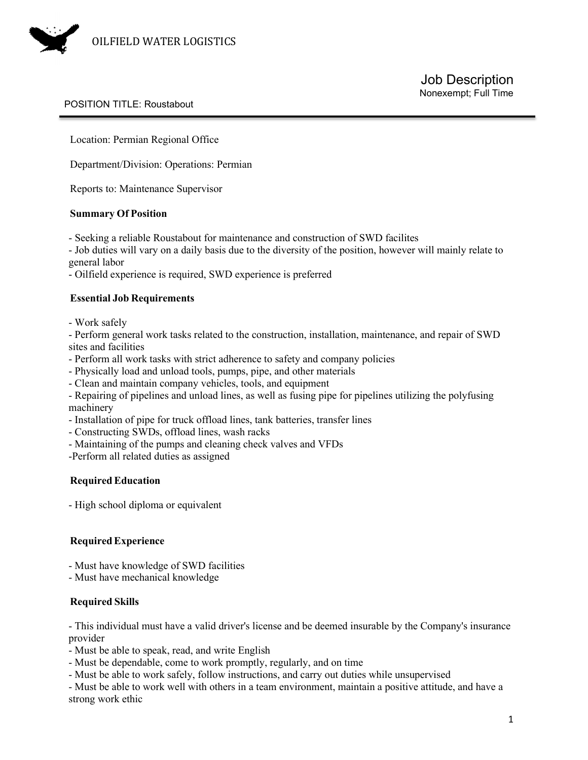

## POSITION TITLE: Roustabout

Location: Permian Regional Office

Department/Division: Operations: Permian

Reports to: Maintenance Supervisor

#### **Summary Of Position**

- Seeking a reliable Roustabout for maintenance and construction of SWD facilites

- Job duties will vary on a daily basis due to the diversity of the position, however will mainly relate to general labor

- Oilfield experience is required, SWD experience is preferred

## **Essential Job Requirements**

- Work safely

- Perform general work tasks related to the construction, installation, maintenance, and repair of SWD sites and facilities

- Perform all work tasks with strict adherence to safety and company policies
- Physically load and unload tools, pumps, pipe, and other materials
- Clean and maintain company vehicles, tools, and equipment

- Repairing of pipelines and unload lines, as well as fusing pipe for pipelines utilizing the polyfusing machinery

- Installation of pipe for truck offload lines, tank batteries, transfer lines
- Constructing SWDs, offload lines, wash racks
- Maintaining of the pumps and cleaning check valves and VFDs

-Perform all related duties as assigned

## **RequiredEducation**

- High school diploma or equivalent

## **RequiredExperience**

- Must have knowledge of SWD facilities

- Must have mechanical knowledge

## **Required Skills**

- This individual must have a valid driver's license and be deemed insurable by the Company's insurance provider

- Must be able to speak, read, and write English

- Must be dependable, come to work promptly, regularly, and on time
- Must be able to work safely, follow instructions, and carry out duties while unsupervised

- Must be able to work well with others in a team environment, maintain a positive attitude, and have a strong work ethic